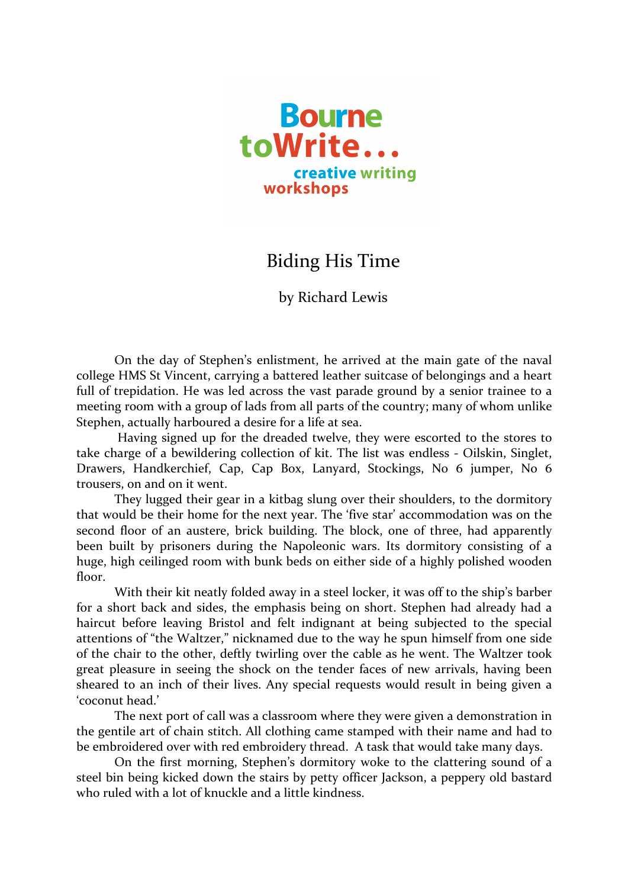

## **Biding His Time**

by Richard Lewis

On the day of Stephen's enlistment, he arrived at the main gate of the naval college HMS St Vincent, carrying a battered leather suitcase of belongings and a heart full of trepidation. He was led across the vast parade ground by a senior trainee to a meeting room with a group of lads from all parts of the country; many of whom unlike Stephen, actually harboured a desire for a life at sea.

Having signed up for the dreaded twelve, they were escorted to the stores to take charge of a bewildering collection of kit. The list was endless - Oilskin, Singlet, Drawers, Handkerchief, Cap, Cap Box, Lanyard, Stockings, No 6 jumper, No 6 trousers, on and on it went.

They lugged their gear in a kitbag slung over their shoulders, to the dormitory that would be their home for the next year. The 'five star' accommodation was on the second floor of an austere, brick building. The block, one of three, had apparently been built by prisoners during the Napoleonic wars. Its dormitory consisting of a huge, high ceilinged room with bunk beds on either side of a highly polished wooden floor. 

With their kit neatly folded away in a steel locker, it was off to the ship's barber for a short back and sides, the emphasis being on short. Stephen had already had a haircut before leaving Bristol and felt indignant at being subjected to the special attentions of "the Waltzer," nicknamed due to the way he spun himself from one side of the chair to the other, deftly twirling over the cable as he went. The Waltzer took great pleasure in seeing the shock on the tender faces of new arrivals, having been sheared to an inch of their lives. Any special requests would result in being given a 'coconut head.'

The next port of call was a classroom where they were given a demonstration in the gentile art of chain stitch. All clothing came stamped with their name and had to be embroidered over with red embroidery thread. A task that would take many days.

On the first morning, Stephen's dormitory woke to the clattering sound of a steel bin being kicked down the stairs by petty officer Jackson, a peppery old bastard who ruled with a lot of knuckle and a little kindness.